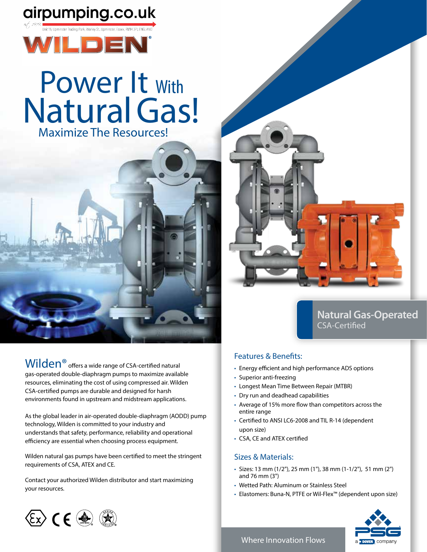## airpumping.co.uk



# Power It With **Natural Gas!** Maximize The Resources!



Wilden<sup>®</sup> offers a wide range of CSA-certified natural gas-operated double-diaphragm pumps to maximize available resources, eliminating the cost of using compressed air. Wilden CSA-certified pumps are durable and designed for harsh environments found in upstream and midstream applications.

As the global leader in air-operated double-diaphragm (AODD) pump technology, Wilden is committed to your industry and understands that safety, performance, reliability and operational efficiency are essential when choosing process equipment.

Wilden natural gas pumps have been certified to meet the stringent requirements of CSA, ATEX and CE.

Contact your authorized Wilden distributor and start maximizing your resources.



#### **Natural Gas-Operated** CSA-Certified

#### Features & Benefits:

- Energy efficient and high performance ADS options
- Superior anti-freezing
- Longest Mean Time Between Repair (MTBR)
- Dry run and deadhead capabilities
- Average of 15% more flow than competitors across the entire range
- Certified to ANSI LC6-2008 and TIL R-14 (dependent upon size)
- CSA, CE and ATEX certified

#### Sizes & Materials:

- Sizes: 13 mm (1/2"), 25 mm (1"), 38 mm (1-1/2"), 51 mm (2") and 76 mm (3")
- Wetted Path: Aluminum or Stainless Steel
- Elastomers: Buna-N, PTFE or Wil-Flex™ (dependent upon size)





#### Where Innovation Flows